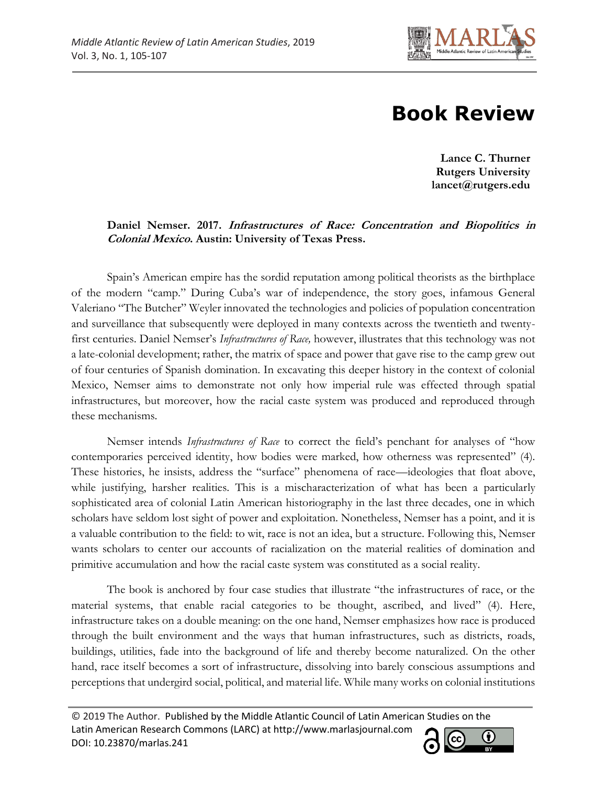

# **Book Review**

**Lance C. Thurner Rutgers University lancet@rutgers.edu**

### **Daniel Nemser. 2017. Infrastructures of Race: Concentration and Biopolitics in Colonial Mexico. Austin: University of Texas Press.**

Spain's American empire has the sordid reputation among political theorists as the birthplace of the modern "camp." During Cuba's war of independence, the story goes, infamous General Valeriano "The Butcher" Weyler innovated the technologies and policies of population concentration and surveillance that subsequently were deployed in many contexts across the twentieth and twentyfirst centuries. Daniel Nemser's *Infrastructures of Race,* however, illustrates that this technology was not a late-colonial development; rather, the matrix of space and power that gave rise to the camp grew out of four centuries of Spanish domination. In excavating this deeper history in the context of colonial Mexico, Nemser aims to demonstrate not only how imperial rule was effected through spatial infrastructures, but moreover, how the racial caste system was produced and reproduced through these mechanisms.

Nemser intends *Infrastructures of Race* to correct the field's penchant for analyses of "how contemporaries perceived identity, how bodies were marked, how otherness was represented" (4). These histories, he insists, address the "surface" phenomena of race—ideologies that float above, while justifying, harsher realities. This is a mischaracterization of what has been a particularly sophisticated area of colonial Latin American historiography in the last three decades, one in which scholars have seldom lost sight of power and exploitation. Nonetheless, Nemser has a point, and it is a valuable contribution to the field: to wit, race is not an idea, but a structure. Following this, Nemser wants scholars to center our accounts of racialization on the material realities of domination and primitive accumulation and how the racial caste system was constituted as a social reality.

The book is anchored by four case studies that illustrate "the infrastructures of race, or the material systems, that enable racial categories to be thought, ascribed, and lived" (4). Here, infrastructure takes on a double meaning: on the one hand, Nemser emphasizes how race is produced through the built environment and the ways that human infrastructures, such as districts, roads, buildings, utilities, fade into the background of life and thereby become naturalized. On the other hand, race itself becomes a sort of infrastructure, dissolving into barely conscious assumptions and perceptions that undergird social, political, and material life. While many works on colonial institutions

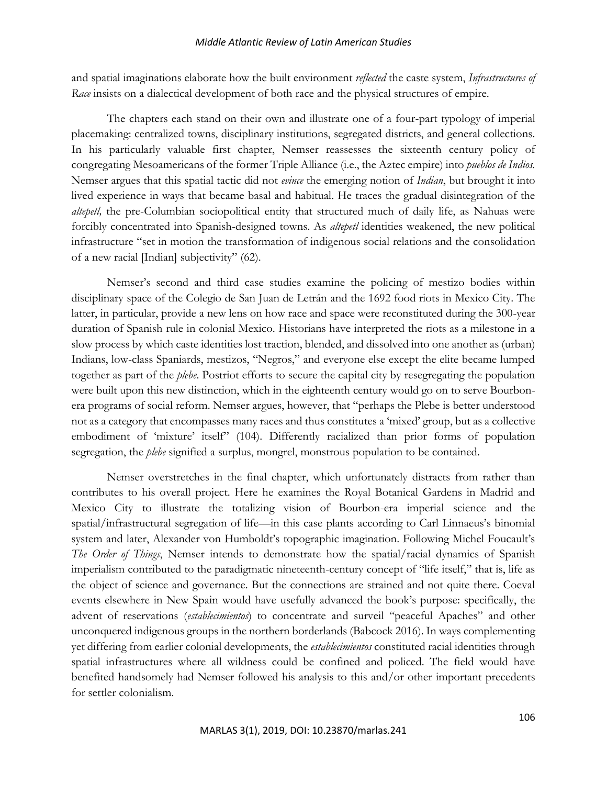#### *Middle Atlantic Review of Latin American Studies*

and spatial imaginations elaborate how the built environment *reflected* the caste system, *Infrastructures of Race* insists on a dialectical development of both race and the physical structures of empire.

The chapters each stand on their own and illustrate one of a four-part typology of imperial placemaking: centralized towns, disciplinary institutions, segregated districts, and general collections. In his particularly valuable first chapter, Nemser reassesses the sixteenth century policy of congregating Mesoamericans of the former Triple Alliance (i.e., the Aztec empire) into *pueblos de Indios.*  Nemser argues that this spatial tactic did not *evince* the emerging notion of *Indian*, but brought it into lived experience in ways that became basal and habitual. He traces the gradual disintegration of the *altepetl*, the pre-Columbian sociopolitical entity that structured much of daily life, as Nahuas were forcibly concentrated into Spanish-designed towns. As *altepetl* identities weakened, the new political infrastructure "set in motion the transformation of indigenous social relations and the consolidation of a new racial [Indian] subjectivity" (62).

Nemser's second and third case studies examine the policing of mestizo bodies within disciplinary space of the Colegio de San Juan de Letrán and the 1692 food riots in Mexico City. The latter, in particular, provide a new lens on how race and space were reconstituted during the 300-year duration of Spanish rule in colonial Mexico. Historians have interpreted the riots as a milestone in a slow process by which caste identities lost traction, blended, and dissolved into one another as (urban) Indians, low-class Spaniards, mestizos, "Negros," and everyone else except the elite became lumped together as part of the *plebe*. Postriot efforts to secure the capital city by resegregating the population were built upon this new distinction, which in the eighteenth century would go on to serve Bourbonera programs of social reform. Nemser argues, however, that "perhaps the Plebe is better understood not as a category that encompasses many races and thus constitutes a 'mixed' group, but as a collective embodiment of 'mixture' itself" (104). Differently racialized than prior forms of population segregation, the *plebe* signified a surplus, mongrel, monstrous population to be contained.

Nemser overstretches in the final chapter, which unfortunately distracts from rather than contributes to his overall project. Here he examines the Royal Botanical Gardens in Madrid and Mexico City to illustrate the totalizing vision of Bourbon-era imperial science and the spatial/infrastructural segregation of life—in this case plants according to Carl Linnaeus's binomial system and later, Alexander von Humboldt's topographic imagination. Following Michel Foucault's *The Order of Things*, Nemser intends to demonstrate how the spatial/racial dynamics of Spanish imperialism contributed to the paradigmatic nineteenth-century concept of "life itself," that is, life as the object of science and governance. But the connections are strained and not quite there. Coeval events elsewhere in New Spain would have usefully advanced the book's purpose: specifically, the advent of reservations (*establecimientos*) to concentrate and surveil "peaceful Apaches" and other unconquered indigenous groups in the northern borderlands (Babcock 2016). In ways complementing yet differing from earlier colonial developments, the *establecimientos* constituted racial identities through spatial infrastructures where all wildness could be confined and policed. The field would have benefited handsomely had Nemser followed his analysis to this and/or other important precedents for settler colonialism.